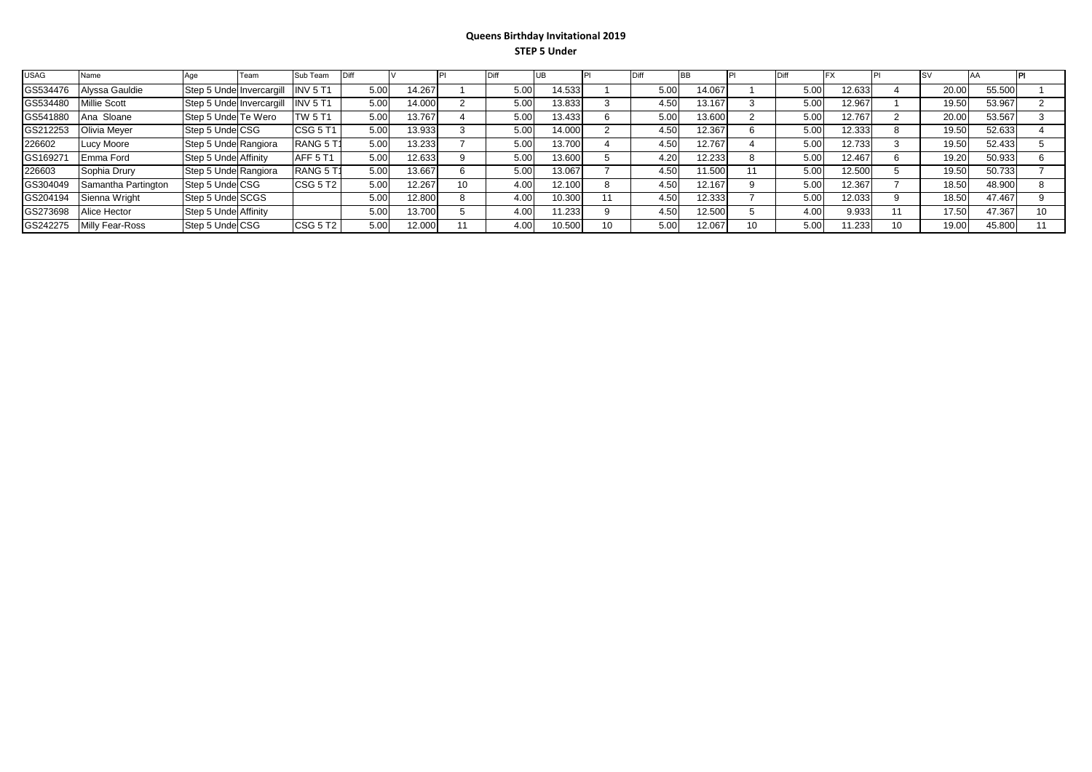## **Queens Birthday Invitational 2019 STEP 5 Under**

| <b>USAG</b> | Name                |                           | Team | Sub Team           |      |        |      |        |    |      |        |      |        |       |        |  |
|-------------|---------------------|---------------------------|------|--------------------|------|--------|------|--------|----|------|--------|------|--------|-------|--------|--|
| GS534476    | Alyssa Gauldie      | Step 5 Under Invercargill |      | INV <sub>5</sub> T | 5.00 | 14.267 | 5.00 | 14.533 |    | 5.00 | 14.067 | 5.00 | 12.633 | 20.00 | 55.500 |  |
| GS534480    | Millie Scott        | Step 5 Under Invercargill |      | INV <sub>5</sub> T | 5.00 | 14.000 | 5.00 | 13.833 |    | 4.50 | 13.167 | 5.00 | 12.967 | 19.50 | 53.967 |  |
| GS541880    | Ana Sloane          | Step 5 Undel Te Wero      |      | TW 5 T $^{\circ}$  | 5.00 | 13.767 | 5.00 | 13.433 |    | 5.00 | 13.600 | 5.00 | 12.767 | 20.00 | 53.567 |  |
| GS212253    | Olivia Mever        | Step 5 Under CSG          |      | <b>CSG 5 T1</b>    | 5.00 | 13.933 | 5.00 | 14.000 |    | 4.50 | 12.367 | 5.00 | 12.333 | 19.50 | 52.633 |  |
| 226602      | Lucy Moore          | Step 5 Under Rangiora     |      | RANG 5 T           | 5.00 | 13.233 | 5.00 | 13.700 |    | 4.50 | 12.767 | 5.00 | 12.733 | 19.50 | 52.433 |  |
| GS16927     | Emma Ford           | Step 5 Undel Affinity     |      | AFF 5 T1           | 5.00 | 12.633 | 5.00 | 13.600 |    | 4.20 | 12.233 | 5.00 | 12.467 | 19.20 | 50.933 |  |
| 226603      | Sophia Drury        | Step 5 Under Rangiora     |      | RANG 5 T           | 5.00 | 13.667 | 5.00 | 13.067 |    | 4.50 | 11.500 | 5.00 | 12.500 | 19.50 | 50.733 |  |
| GS304049    | Samantha Partington | Step 5 Under CSG          |      | <b>CSG 5 T2</b>    | 5.00 | 12.267 | 4.00 | 12.100 |    | 4.50 | 12.167 | 5.00 | 12.367 | 18.50 | 48.900 |  |
| GS204194    | Sienna Wright       | Step 5 Under SCGS         |      |                    | 5.00 | 12.800 | 4.00 | 10.300 | 11 | 4.50 | 12.333 | 5.00 | 12.033 | 18.50 | 47.467 |  |
| GS273698    | Alice Hector        | Step 5 Under Affinity     |      |                    | 5.00 | 13.700 | 4.00 | 11.233 |    | 4.50 | 12.500 | 4.00 | 9.933  | 17.50 | 47.367 |  |
| GS242275    | Milly Fear-Ross     | Step 5 Under CSG          |      | <b>CSG 5 T2</b>    | 5.00 | 12.000 | 4.00 | 10.500 | 10 | 5.00 | 12.067 | 5.00 | 1.233  | 19.00 | 45.800 |  |